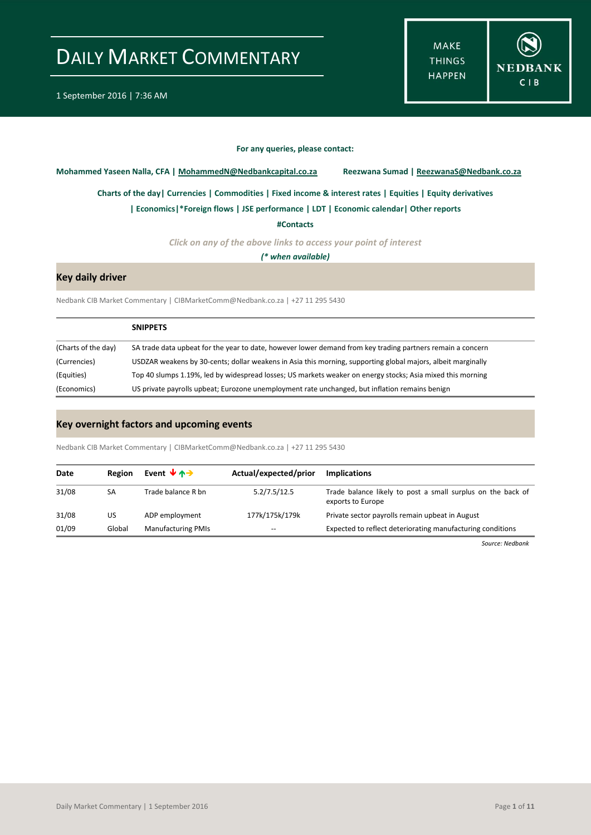**MAKE THINGS HAPPEN** 



#### **For any queries, please contact:**

<span id="page-0-0"></span>**Mohammed Yaseen Nalla, CFA | MohammedN@Nedbankcapital.co.za Reezwana Sumad | ReezwanaS@Nedbank.co.za**

**[Charts of the day|](#page-1-0) [Currencies](#page-2-0) [| Commodities](#page-3-0) | [Fixed income & interest rates](#page-4-0) [| Equities](#page-5-0) | Equity derivatives**

**[| Economics|](#page-6-0)\*Foreign flows | [JSE performance](#page-7-0) | LDT [| Economic calendar|](#page-8-0) Other reports** 

**[#Contacts](#page-9-0)**

*Click on any of the above links to access your point of interest*

*(\* when available)*

### **Key daily driver**

Nedbank CIB Market Commentary | CIBMarketComm@Nedbank.co.za | +27 11 295 5430

|                     | <b>SNIPPETS</b>                                                                                              |
|---------------------|--------------------------------------------------------------------------------------------------------------|
| (Charts of the day) | SA trade data upbeat for the year to date, however lower demand from key trading partners remain a concern   |
| (Currencies)        | USDZAR weakens by 30-cents; dollar weakens in Asia this morning, supporting global majors, albeit marginally |
| (Equities)          | Top 40 slumps 1.19%, led by widespread losses; US markets weaker on energy stocks; Asia mixed this morning   |
| (Economics)         | US private payrolls upbeat; Eurozone unemployment rate unchanged, but inflation remains benign               |

### **Key overnight factors and upcoming events**

Nedbank CIB Market Commentary | CIBMarketComm@Nedbank.co.za | +27 11 295 5430

| Date  | <b>Region</b> | Event $\forall$ $\land \rightarrow$ | Actual/expected/prior | <b>Implications</b>                                                              |
|-------|---------------|-------------------------------------|-----------------------|----------------------------------------------------------------------------------|
| 31/08 | SA            | Trade balance R bn                  | 5.2/7.5/12.5          | Trade balance likely to post a small surplus on the back of<br>exports to Europe |
| 31/08 | US            | ADP employment                      | 177k/175k/179k        | Private sector payrolls remain upbeat in August                                  |
| 01/09 | Global        | <b>Manufacturing PMIs</b>           | $- -$                 | Expected to reflect deteriorating manufacturing conditions                       |

*Source: Nedbank*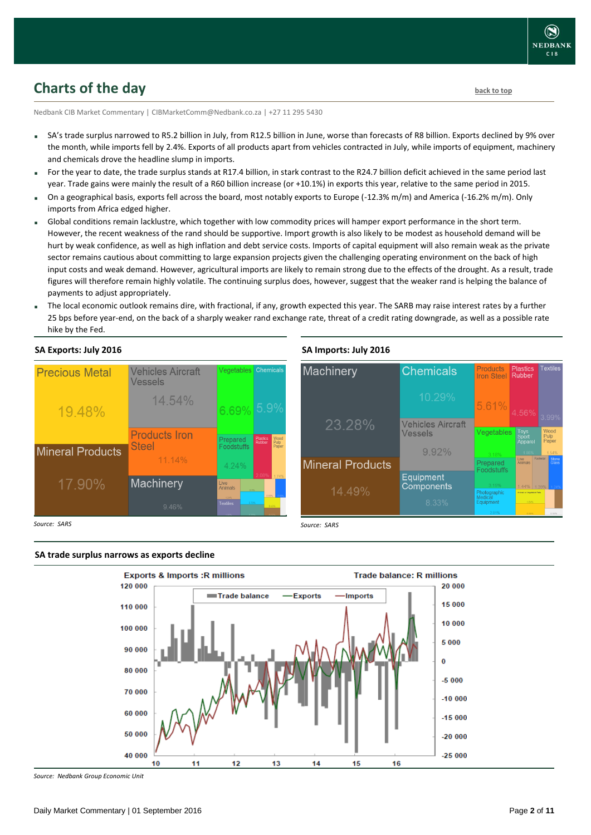## <span id="page-1-0"></span>**Charts of the day** [back to top](#page-0-0) **back to top**

Nedbank CIB Market Commentary | CIBMarketComm@Nedbank.co.za | +27 11 295 5430

- SA's trade surplus narrowed to R5.2 billion in July, from R12.5 billion in June, worse than forecasts of R8 billion. Exports declined by 9% over the month, while imports fell by 2.4%. Exports of all products apart from vehicles contracted in July, while imports of equipment, machinery and chemicals drove the headline slump in imports.
- For the year to date, the trade surplus stands at R17.4 billion, in stark contrast to the R24.7 billion deficit achieved in the same period last year. Trade gains were mainly the result of a R60 billion increase (or +10.1%) in exports this year, relative to the same period in 2015.
- On a geographical basis, exports fell across the board, most notably exports to Europe (-12.3% m/m) and America (-16.2% m/m). Only imports from Africa edged higher.
- Global conditions remain lacklustre, which together with low commodity prices will hamper export performance in the short term. However, the recent weakness of the rand should be supportive. Import growth is also likely to be modest as household demand will be hurt by weak confidence, as well as high inflation and debt service costs. Imports of capital equipment will also remain weak as the private sector remains cautious about committing to large expansion projects given the challenging operating environment on the back of high input costs and weak demand. However, agricultural imports are likely to remain strong due to the effects of the drought. As a result, trade figures will therefore remain highly volatile. The continuing surplus does, however, suggest that the weaker rand is helping the balance of payments to adjust appropriately.
- The local economic outlook remains dire, with fractional, if any, growth expected this year. The SARB may raise interest rates by a further 25 bps before year-end, on the back of a sharply weaker rand exchange rate, threat of a credit rating downgrade, as well as a possible rate hike by the Fed.

**SA Imports: July 2016**

23 28%

**Mineral Products** 

**Chemicals** 

**Vehicles Aircraft** Vessels

 $9.92%$ 

Equipment

Components

Prepared

otographic<br>edical ouicai<br>auinment

Machinery

### **SA Exports: July 2016**



*Source: SARS*

#### **SA trade surplus narrows as exports decline**



*Source: SARS*

*Source: Nedbank Group Economic Unit*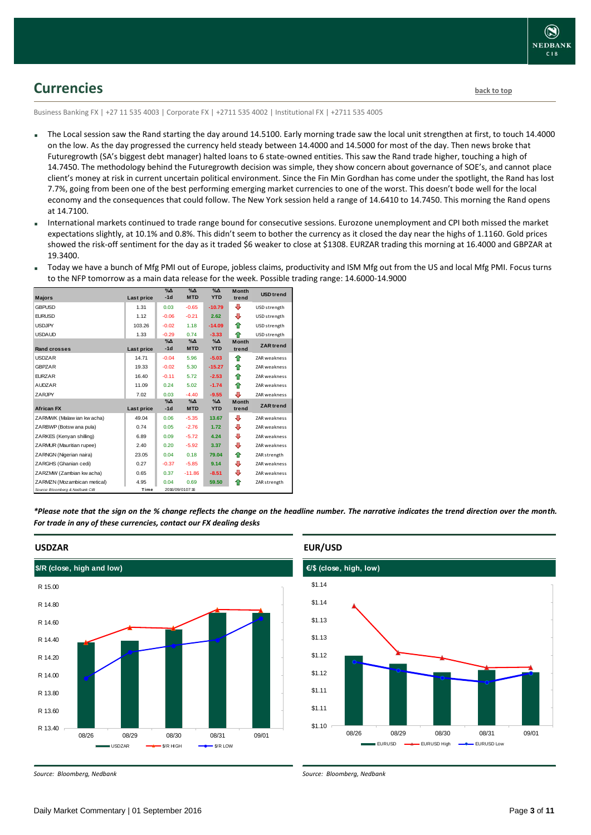

### <span id="page-2-0"></span>**Currencies [back to top](#page-0-0)**

Business Banking FX | +27 11 535 4003 | Corporate FX | +2711 535 4002 | Institutional FX | +2711 535 4005

- The Local session saw the Rand starting the day around 14.5100. Early morning trade saw the local unit strengthen at first, to touch 14.4000 on the low. As the day progressed the currency held steady between 14.4000 and 14.5000 for most of the day. Then news broke that Futuregrowth (SA's biggest debt manager) halted loans to 6 state-owned entities. This saw the Rand trade higher, touching a high of 14.7450. The methodology behind the Futuregrowth decision was simple, they show concern about governance of SOE's, and cannot place client's money at risk in current uncertain political environment. Since the Fin Min Gordhan has come under the spotlight, the Rand has lost 7.7%, going from been one of the best performing emerging market currencies to one of the worst. This doesn't bode well for the local economy and the consequences that could follow. The New York session held a range of 14.6410 to 14.7450. This morning the Rand opens at 14.7100.
- International markets continued to trade range bound for consecutive sessions. Eurozone unemployment and CPI both missed the market expectations slightly, at 10.1% and 0.8%. This didn't seem to bother the currency as it closed the day near the highs of 1.1160. Gold prices showed the risk-off sentiment for the day as it traded \$6 weaker to close at \$1308. EURZAR trading this morning at 16.4000 and GBPZAR at 19.3400.
- Today we have a bunch of Mfg PMI out of Europe, jobless claims, productivity and ISM Mfg out from the US and local Mfg PMI. Focus turns to the NFP tomorrow as a main data release for the week. Possible trading range: 14.6000-14.9000

| <b>Majors</b>                   | Last price | $\%$ $\Delta$<br>$-1d$     | $\Delta_0$<br><b>MTD</b>  | $\sqrt{\Delta}$<br><b>YTD</b> | <b>Month</b><br>trend | <b>USD</b> trend    |
|---------------------------------|------------|----------------------------|---------------------------|-------------------------------|-----------------------|---------------------|
| <b>GBPUSD</b>                   | 1.31       | 0.03                       | $-0.65$                   | $-10.79$                      | ⊕                     | USD strength        |
| <b>FURUSD</b>                   | 1.12       | $-0.06$                    | $-0.21$                   | 2.62                          | ⊕                     | USD strength        |
| <b>USDJPY</b>                   | 103.26     | $-0.02$                    | 1.18                      | $-14.09$                      | ♠                     | USD strength        |
| <b>USDAUD</b>                   | 1.33       | $-0.29$                    | 0.74                      | $-3.33$                       | ♠                     | USD strength        |
| Rand crosses                    | Last price | $\%$ $\Delta$<br>$-1d$     | $\% \Delta$<br><b>MTD</b> | $\Delta$<br><b>YTD</b>        | <b>Month</b><br>trend | <b>ZAR</b> trend    |
| <b>USDZAR</b>                   | 14.71      | $-0.04$                    | 5.96                      | $-5.03$                       | ♠                     | <b>ZAR</b> weakness |
| <b>GBPZAR</b>                   | 19.33      | $-0.02$                    | 5.30                      | $-15.27$                      | ⇑                     | ZAR weakness        |
| <b>EURZAR</b>                   | 16.40      | $-0.11$                    | 5.72                      | $-2.53$                       | ♠                     | ZAR weakness        |
| <b>AUDZAR</b>                   | 11.09      | 0.24                       | 5.02                      | $-1.74$                       | ♠                     | <b>ZAR</b> weakness |
| ZARJPY                          | 7.02       | 0.03                       | $-4.40$                   | $-9.55$                       | л                     | <b>ZAR</b> weakness |
| <b>African FX</b>               | Last price | $\gamma_0 \Delta$<br>$-1d$ | $\Delta_0$<br><b>MTD</b>  | $\Delta_0$<br><b>YTD</b>      | <b>Month</b><br>trend | <b>ZAR</b> trend    |
| ZARMWK (Malaw ian kw acha)      | 49.04      | 0.06                       | $-5.35$                   | 13.67                         | ⊕                     | <b>ZAR</b> weakness |
| ZARBWP (Botsw ana pula)         | 0.74       | 0.05                       | $-2.76$                   | 1.72                          | ⊕                     | ZAR weakness        |
| ZARKES (Kenyan shilling)        | 6.89       | 0.09                       | $-5.72$                   | 4.24                          | ⊕                     | <b>ZAR</b> weakness |
| ZARMUR (Mauritian rupee)        | 2.40       | 0.20                       | $-5.92$                   | 3.37                          | ⊕                     | <b>ZAR</b> weakness |
| ZARNGN (Nigerian naira)         | 23.05      | 0.04                       | 0.18                      | 79.04                         | ⇑                     | ZAR strength        |
| ZARGHS (Ghanian cedi)           | 0.27       | $-0.37$                    | $-5.85$                   | 9.14                          | ⊕                     | <b>ZAR</b> weakness |
| ZARZMW (Zambian kw acha)        | 0.65       | 0.37                       | $-11.86$                  | $-8.51$                       | ⊕                     | <b>ZAR</b> weakness |
| ZARMZN (Mozambican metical)     | 4.95       | 0.04                       | 0.69                      | 59.50                         | ♠                     | ZAR strength        |
| Source: Bloomberg & Nedbank CIB | Time       |                            | 2016/09/0107:16           |                               |                       |                     |

*\*Please note that the sign on the % change reflects the change on the headline number. The narrative indicates the trend direction over the month. For trade in any of these currencies, contact our FX dealing desks*



### **EUR/USD**

*Source: Bloomberg, Nedbank*



*Source: Bloomberg, Nedbank*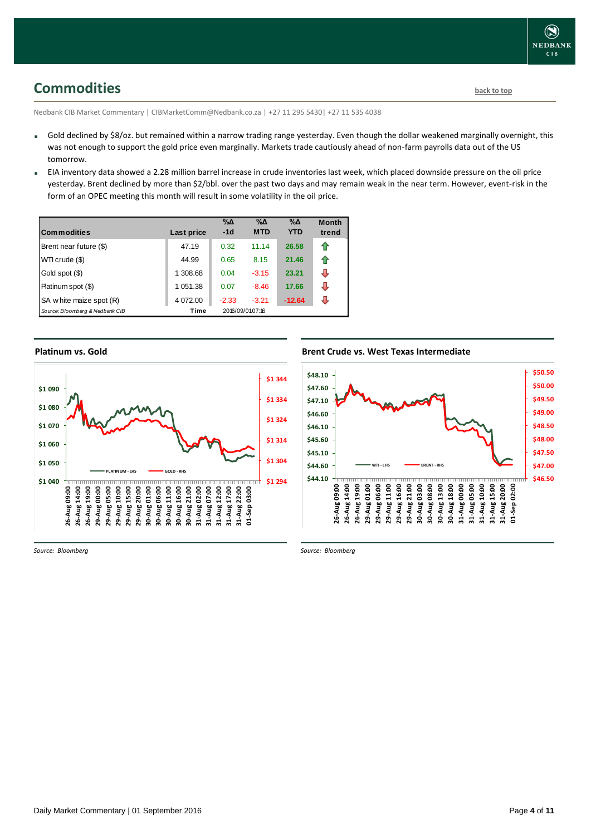## <span id="page-3-0"></span>**Commodities [back to top](#page-0-0)**

Nedbank CIB Market Commentary | CIBMarketComm@Nedbank.co.za | +27 11 295 5430| +27 11 535 4038

- Gold declined by \$8/oz. but remained within a narrow trading range yesterday. Even though the dollar weakened marginally overnight, this was not enough to support the gold price even marginally. Markets trade cautiously ahead of non-farm payrolls data out of the US tomorrow.
- EIA inventory data showed a 2.28 million barrel increase in crude inventories last week, which placed downside pressure on the oil price yesterday. Brent declined by more than \$2/bbl. over the past two days and may remain weak in the near term. However, event-risk in the form of an OPEC meeting this month will result in some volatility in the oil price.

| <b>Commodities</b>              | Last price | $\% \Delta$<br>$-1d$ | $\% \Delta$<br><b>MTD</b> | $\% \Delta$<br><b>YTD</b> | <b>Month</b><br>trend |
|---------------------------------|------------|----------------------|---------------------------|---------------------------|-----------------------|
| Brent near future (\$)          | 47.19      | 0.32                 | 11.14                     | 26.58                     | n                     |
| WTI crude (\$)                  | 44.99      | 0.65                 | 8.15                      | 21.46                     | €                     |
| Gold spot (\$)                  | 1 308.68   | 0.04                 | $-3.15$                   | 23.21                     | ⇩                     |
| Platinum spot (\$)              | 1 051.38   | 0.07                 | $-8.46$                   | 17.66                     | J                     |
| SA w hite maize spot (R)        | 4 072.00   | $-2.33$              | $-3.21$                   | $-12.64$                  | J                     |
| Source: Bloomberg & Nedbank CIB | Time       |                      | 2016/09/0107:16           |                           |                       |

### **Platinum vs. Gold**



### **Brent Crude vs. West Texas Intermediate Brent Crude vs West Texas Intermediate**



*Source: Bloomberg*

*Source: Bloomberg*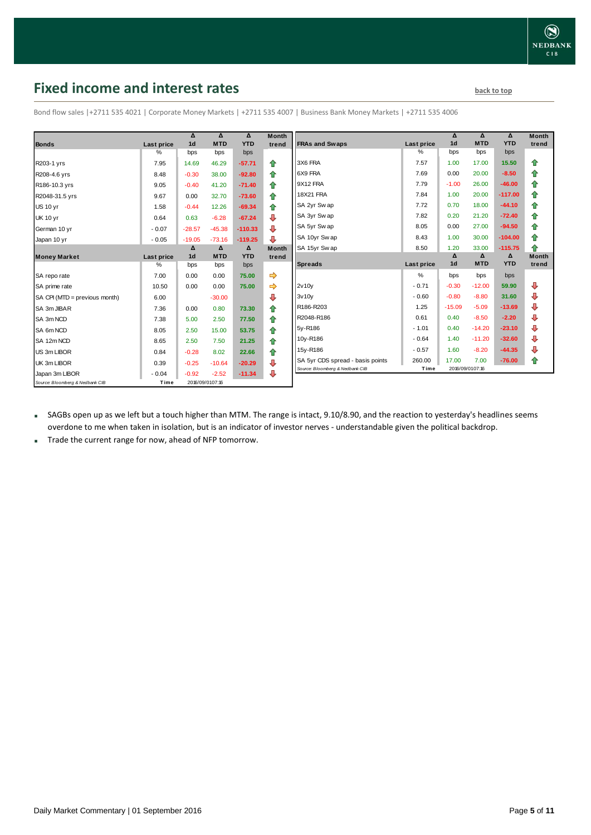## <span id="page-4-0"></span>**Fixed income and interest rates back to the line of the set of the set of the set of the set of the set of the set of the set of the set of the set of the set of the set of the set of the set of the set of the set of th**

|                                 |            | Δ               | Δ          | Δ          | <b>Month</b>  |                                  |            | Δ              | Δ               | Δ          | Month        |
|---------------------------------|------------|-----------------|------------|------------|---------------|----------------------------------|------------|----------------|-----------------|------------|--------------|
| <b>Bonds</b>                    | Last price | 1 <sub>d</sub>  | <b>MTD</b> | <b>YTD</b> | trend         | <b>FRAs and Swaps</b>            | Last price | 1 <sub>d</sub> | <b>MTD</b>      | <b>YTD</b> | trend        |
|                                 | %          | bps             | bps        | bps        |               |                                  | %          | bps            | bps             | bps        |              |
| R203-1 yrs                      | 7.95       | 14.69           | 46.29      | $-57.71$   | ⇑             | 3X6 FRA                          | 7.57       | 1.00           | 17.00           | 15.50      | 企            |
| R208-4.6 yrs                    | 8.48       | $-0.30$         | 38.00      | $-92.80$   | 全             | 6X9 FRA                          | 7.69       | 0.00           | 20.00           | $-8.50$    | 企            |
| R186-10.3 yrs                   | 9.05       | $-0.40$         | 41.20      | $-71.40$   | 企             | 9X12 FRA                         | 7.79       | $-1.00$        | 26.00           | $-46.00$   | ⇑            |
| R2048-31.5 yrs                  | 9.67       | 0.00            | 32.70      | $-73.60$   | 企             | <b>18X21 FRA</b>                 | 7.84       | 1.00           | 20.00           | $-117.00$  | ⇑            |
| <b>US 10 yr</b>                 | 1.58       | $-0.44$         | 12.26      | $-69.34$   | 全             | SA 2yr Sw ap                     | 7.72       | 0.70           | 18.00           | $-44.10$   | ⇮            |
| <b>UK 10 yr</b>                 | 0.64       | 0.63            | $-6.28$    | $-67.24$   | ⊕             | SA 3yr Sw ap                     | 7.82       | 0.20           | 21.20           | $-72.40$   | ⇑            |
| German 10 yr                    | $-0.07$    | $-28.57$        | $-45.38$   | $-110.33$  | ⊕             | SA 5yr Sw ap                     | 8.05       | 0.00           | 27.00           | $-94.50$   | ⇑            |
| Japan 10 yr                     | $-0.05$    | $-19.05$        | $-73.16$   | $-119.25$  | 非             | SA 10yr Sw ap                    | 8.43       | 1.00           | 30.00           | $-104.00$  | ⇑            |
|                                 |            | Δ               | Δ          | Δ          | <b>Month</b>  | SA 15yr Swap                     | 8.50       | 1.20           | 33.00           | $-115.75$  | 企            |
| <b>Money Market</b>             | Last price | 1 <sub>d</sub>  | <b>MTD</b> | <b>YTD</b> | trend         |                                  |            | Δ              | Δ               | Δ          | <b>Month</b> |
|                                 | %          | bps             | bps        | bps        |               | <b>Spreads</b>                   | Last price | 1 <sub>d</sub> | <b>MTD</b>      | <b>YTD</b> | trend        |
| SA repo rate                    | 7.00       | 0.00            | 0.00       | 75.00      | $\Rightarrow$ |                                  | %          | bps            | bps             | bps        |              |
| SA prime rate                   | 10.50      | 0.00            | 0.00       | 75.00      |               | 2v10v                            | $-0.71$    | $-0.30$        | $-12.00$        | 59.90      | ⊕            |
| SA CPI (MTD = previous month)   | 6.00       |                 | $-30.00$   |            | ⊕             | 3v10v                            | $-0.60$    | $-0.80$        | $-8.80$         | 31.60      | ⊕            |
| SA 3m JIBAR                     | 7.36       | 0.00            | 0.80       | 73.30      | 合             | R186-R203                        | 1.25       | $-15.09$       | $-5.09$         | $-13.69$   | ⊕            |
| SA 3m NCD                       | 7.38       | 5.00            | 2.50       | 77.50      | 合             | R2048-R186                       | 0.61       | 0.40           | $-8.50$         | $-2.20$    | ⊕            |
| SA 6m NCD                       | 8.05       | 2.50            | 15.00      | 53.75      | 全             | 5y-R186                          | $-1.01$    | 0.40           | $-14.20$        | $-23.10$   | ⇩            |
| SA 12m NCD                      | 8.65       | 2.50            | 7.50       | 21.25      | 全             | 10y-R186                         | $-0.64$    | 1.40           | $-11.20$        | $-32.60$   | ⊕            |
| US 3m LIBOR                     | 0.84       | $-0.28$         | 8.02       | 22.66      | 企             | 15y-R186                         | $-0.57$    | 1.60           | $-8.20$         | $-44.35$   | ⊕            |
| UK 3m LIBOR                     | 0.39       | $-0.25$         | $-10.64$   | $-20.29$   | ⊕             | SA 5yr CDS spread - basis points | 260.00     | 17.00          | 7.00            | $-76.00$   | ⇑            |
| Japan 3m LIBOR                  | $-0.04$    | $-0.92$         | $-2.52$    | $-11.34$   | ⊕             | Source: Bloomberg & Nedbank CIB  | Time       |                | 2016/09/0107:16 |            |              |
| Source: Bloomberg & Nedbank CIB | Time       | 2016/09/0107:16 |            |            |               |                                  |            |                |                 |            |              |

Bond flow sales |+2711 535 4021 | Corporate Money Markets | +2711 535 4007 | Business Bank Money Markets | +2711 535 4006

 SAGBs open up as we left but a touch higher than MTM. The range is intact, 9.10/8.90, and the reaction to yesterday's headlines seems overdone to me when taken in isolation, but is an indicator of investor nerves - understandable given the political backdrop.

Trade the current range for now, ahead of NFP tomorrow.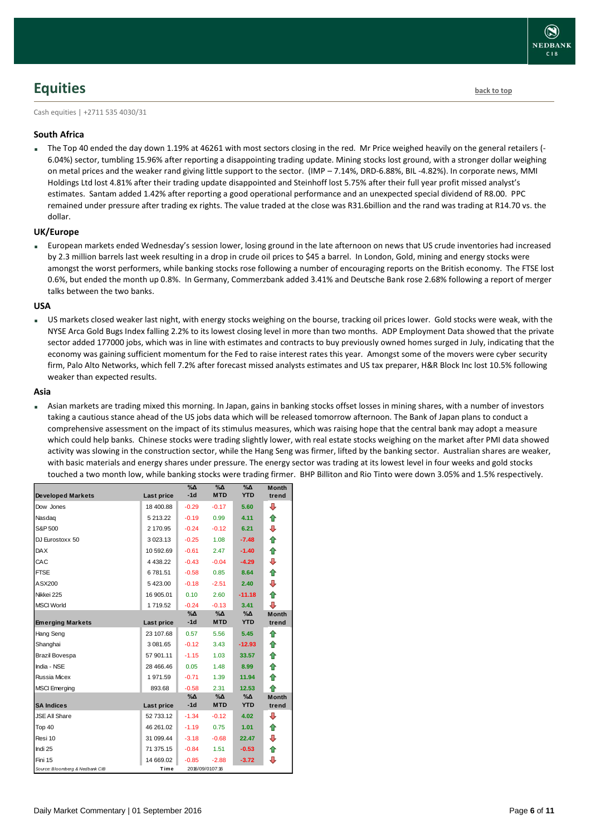## **NEDBANK**  $CIB$

## <span id="page-5-0"></span>**Equities [back to top](#page-0-0)**

Cash equities | +2711 535 4030/31

### **South Africa**

 The Top 40 ended the day down 1.19% at 46261 with most sectors closing in the red. Mr Price weighed heavily on the general retailers (- 6.04%) sector, tumbling 15.96% after reporting a disappointing trading update. Mining stocks lost ground, with a stronger dollar weighing on metal prices and the weaker rand giving little support to the sector. (IMP – 7.14%, DRD-6.88%, BIL -4.82%). In corporate news, MMI Holdings Ltd lost 4.81% after their trading update disappointed and Steinhoff lost 5.75% after their full year profit missed analyst's estimates. Santam added 1.42% after reporting a good operational performance and an unexpected special dividend of R8.00. PPC remained under pressure after trading ex rights. The value traded at the close was R31.6billion and the rand was trading at R14.70 vs. the dollar.

### **UK/Europe**

 European markets ended Wednesday's session lower, losing ground in the late afternoon on news that US crude inventories had increased by 2.3 million barrels last week resulting in a drop in crude oil prices to \$45 a barrel. In London, Gold, mining and energy stocks were amongst the worst performers, while banking stocks rose following a number of encouraging reports on the British economy. The FTSE lost 0.6%, but ended the month up 0.8%. In Germany, Commerzbank added 3.41% and Deutsche Bank rose 2.68% following a report of merger talks between the two banks.

### **USA**

 US markets closed weaker last night, with energy stocks weighing on the bourse, tracking oil prices lower. Gold stocks were weak, with the NYSE Arca Gold Bugs Index falling 2.2% to its lowest closing level in more than two months. ADP Employment Data showed that the private sector added 177000 jobs, which was in line with estimates and contracts to buy previously owned homes surged in July, indicating that the economy was gaining sufficient momentum for the Fed to raise interest rates this year. Amongst some of the movers were cyber security firm, Palo Alto Networks, which fell 7.2% after forecast missed analysts estimates and US tax preparer, H&R Block Inc lost 10.5% following weaker than expected results.

### **Asia**

 Asian markets are trading mixed this morning. In Japan, gains in banking stocks offset losses in mining shares, with a number of investors taking a cautious stance ahead of the US jobs data which will be released tomorrow afternoon. The Bank of Japan plans to conduct a comprehensive assessment on the impact of its stimulus measures, which was raising hope that the central bank may adopt a measure which could help banks. Chinese stocks were trading slightly lower, with real estate stocks weighing on the market after PMI data showed activity was slowing in the construction sector, while the Hang Seng was firmer, lifted by the banking sector. Australian shares are weaker, with basic materials and energy shares under pressure. The energy sector was trading at its lowest level in four weeks and gold stocks touched a two month low, while banking stocks were trading firmer. BHP Billiton and Rio Tinto were down 3.05% and 1.5% respectively.

|                                 |             | $\%$ $\Delta$ | $\sqrt{\Delta}$ | $\sqrt{20}$   | <b>Month</b> |
|---------------------------------|-------------|---------------|-----------------|---------------|--------------|
| <b>Developed Markets</b>        | Last price  | $-1d$         | <b>MTD</b>      | <b>YTD</b>    | trend        |
| Dow Jones                       | 18 400.88   | $-0.29$       | $-0.17$         | 5.60          | ⊕            |
| Nasdaq                          | 5 213.22    | $-0.19$       | 0.99            | 4.11          | ⇑            |
| S&P 500                         | 2 170.95    | $-0.24$       | $-0.12$         | 6.21          | ⇩            |
| DJ Eurostoxx 50                 | 3 0 2 3 1 3 | $-0.25$       | 1.08            | $-7.48$       | 合            |
| <b>DAX</b>                      | 10 592.69   | $-0.61$       | 2.47            | $-1.40$       | ⇑            |
| CAC                             | 4 4 38.22   | $-0.43$       | $-0.04$         | $-4.29$       | ⊕            |
| <b>FTSE</b>                     | 6781.51     | $-0.58$       | 0.85            | 8.64          | ⇑            |
| ASX200                          | 5423.00     | $-0.18$       | $-2.51$         | 2.40          | ⊕            |
| Nikkei 225                      | 16 905.01   | 0.10          | 2.60            | $-11.18$      | ⇑            |
| <b>MSCI World</b>               | 1719.52     | $-0.24$       | $-0.13$         | 3.41          | ⊕            |
|                                 |             | %Δ            | %Д              | $\%$ $\Delta$ | <b>Month</b> |
| <b>Emerging Markets</b>         | Last price  | $-1d$         | <b>MTD</b>      | <b>YTD</b>    | trend        |
| Hang Seng                       | 23 107.68   | 0.57          | 5.56            | 5.45          | ⇑            |
| Shanghai                        | 3 081.65    | $-0.12$       | 3.43            | $-12.93$      | ⇑            |
| Brazil Bovespa                  | 57 901.11   | $-1.15$       | 1.03            | 33.57         | ♠            |
| India - NSE                     | 28 466.46   | 0.05          | 1.48            | 8.99          | ♠            |
| Russia Micex                    | 1971.59     | $-0.71$       | 1.39            | 11.94         | 企            |
| <b>MSCI</b> Emerging            | 893.68      | $-0.58$       | 2.31            | 12.53         | ⇑            |
|                                 |             | %Δ            | %Δ              | %Δ            | <b>Month</b> |
| <b>SA Indices</b>               | Last price  | $-1d$         | <b>MTD</b>      | <b>YTD</b>    | trend        |
| <b>JSE All Share</b>            | 52 733.12   | $-1.34$       | $-0.12$         | 4.02          | ⊕            |
| Top 40                          | 46 261.02   | $-1.19$       | 0.75            | 1.01          | ⇑            |
| Resi 10                         | 31 099.44   | $-3.18$       | $-0.68$         | 22.47         | ⊕            |
| Indi 25                         | 71 375.15   | $-0.84$       | 1.51            | $-0.53$       | ⇑            |
| Fini 15                         | 14 669.02   | $-0.85$       | $-2.88$         | $-3.72$       | ⇩            |
| Source: Bloomberg & Nedbank CIB | Time        |               | 2016/09/0107:16 |               |              |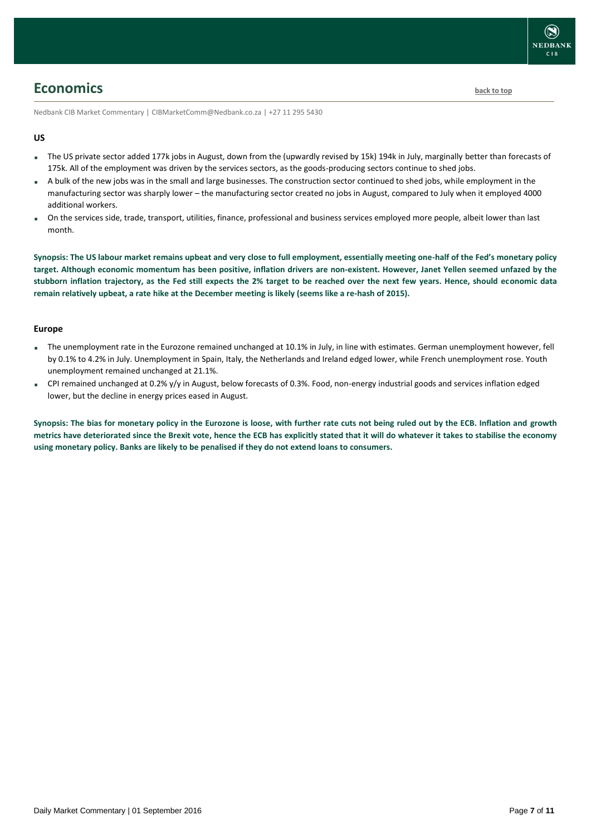## <span id="page-6-0"></span>**Economics [back to top](#page-0-0)**

Nedbank CIB Market Commentary | CIBMarketComm@Nedbank.co.za | +27 11 295 5430

#### **US**

- The US private sector added 177k jobs in August, down from the (upwardly revised by 15k) 194k in July, marginally better than forecasts of 175k. All of the employment was driven by the services sectors, as the goods-producing sectors continue to shed jobs.
- A bulk of the new jobs was in the small and large businesses. The construction sector continued to shed jobs, while employment in the manufacturing sector was sharply lower – the manufacturing sector created no jobs in August, compared to July when it employed 4000 additional workers.
- On the services side, trade, transport, utilities, finance, professional and business services employed more people, albeit lower than last month.

**Synopsis: The US labour market remains upbeat and very close to full employment, essentially meeting one-half of the Fed's monetary policy target. Although economic momentum has been positive, inflation drivers are non-existent. However, Janet Yellen seemed unfazed by the stubborn inflation trajectory, as the Fed still expects the 2% target to be reached over the next few years. Hence, should economic data remain relatively upbeat, a rate hike at the December meeting is likely (seems like a re-hash of 2015).**

### **Europe**

- The unemployment rate in the Eurozone remained unchanged at 10.1% in July, in line with estimates. German unemployment however, fell by 0.1% to 4.2% in July. Unemployment in Spain, Italy, the Netherlands and Ireland edged lower, while French unemployment rose. Youth unemployment remained unchanged at 21.1%.
- CPI remained unchanged at 0.2% y/y in August, below forecasts of 0.3%. Food, non-energy industrial goods and services inflation edged lower, but the decline in energy prices eased in August.

**Synopsis: The bias for monetary policy in the Eurozone is loose, with further rate cuts not being ruled out by the ECB. Inflation and growth metrics have deteriorated since the Brexit vote, hence the ECB has explicitly stated that it will do whatever it takes to stabilise the economy using monetary policy. Banks are likely to be penalised if they do not extend loans to consumers.**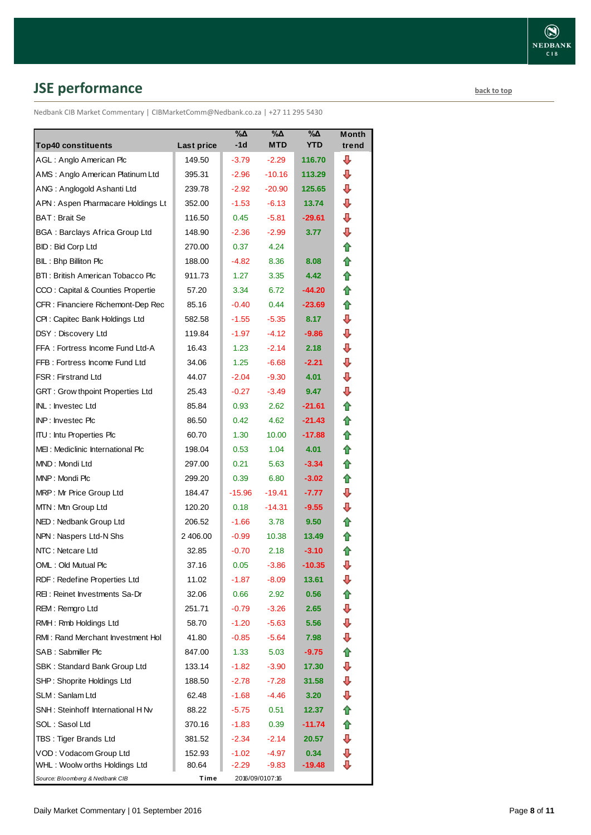# <span id="page-7-0"></span>**JSE performance [back to top](#page-0-0)**

Nedbank CIB Market Commentary | CIBMarketComm@Nedbank.co.za | +27 11 295 5430

| <b>Top40 constituents</b>               | <b>Last price</b> | %Δ<br>$-1d$ | %Δ<br><b>MTD</b> | %Δ<br><b>YTD</b> | Month<br>trend |
|-----------------------------------------|-------------------|-------------|------------------|------------------|----------------|
| AGL: Anglo American Plc                 | 149.50            | $-3.79$     | $-2.29$          | 116.70           | ⊕              |
| AMS: Anglo American Platinum Ltd        | 395.31            | $-2.96$     | $-10.16$         | 113.29           | ⊕              |
| ANG: Anglogold Ashanti Ltd              | 239.78            | $-2.92$     | $-20.90$         | 125.65           | ⊕              |
| APN: Aspen Pharmacare Holdings Lt       | 352.00            | $-1.53$     | $-6.13$          | 13.74            | ⇩              |
| BAT: Brait Se                           | 116.50            | 0.45        | $-5.81$          | $-29.61$         | ⇩              |
| <b>BGA: Barclays Africa Group Ltd</b>   | 148.90            | $-2.36$     | $-2.99$          | 3.77             | ⊕              |
| <b>BID: Bid Corp Ltd</b>                | 270.00            | 0.37        | 4.24             |                  | ✿              |
| BIL: Bhp Billiton Plc                   | 188.00            | $-4.82$     | 8.36             | 8.08             | ⇑              |
| BTI: British American Tobacco Plc       | 911.73            | 1.27        | 3.35             | 4.42             | ⇑              |
| CCO: Capital & Counties Propertie       | 57.20             | 3.34        | 6.72             | -44.20           | ⇑              |
| CFR : Financiere Richemont-Dep Rec      | 85.16             | $-0.40$     | 0.44             | $-23.69$         | ⇑              |
| CPI: Capitec Bank Holdings Ltd          | 582.58            | $-1.55$     | $-5.35$          | 8.17             | ⇩              |
| DSY: Discovery Ltd                      | 119.84            | $-1.97$     | $-4.12$          | $-9.86$          | ⇩              |
| FFA: Fortress Income Fund Ltd-A         | 16.43             | 1.23        | $-2.14$          | 2.18             | ⇩              |
| FFB: Fortress Income Fund Ltd           | 34.06             | 1.25        | $-6.68$          | $-2.21$          | ⊕              |
| <b>FSR: Firstrand Ltd</b>               | 44.07             | $-2.04$     | $-9.30$          | 4.01             | ⇩              |
| <b>GRT: Grow thpoint Properties Ltd</b> | 25.43             | $-0.27$     | $-3.49$          | 9.47             | ⊕              |
| INL: Investec Ltd                       | 85.84             | 0.93        | 2.62             | -21.61           | ⇑              |
| INP: Investec Plc                       | 86.50             | 0.42        | 4.62             | $-21.43$         | ✿              |
| <b>ITU: Intu Properties Plc</b>         | 60.70             | 1.30        | 10.00            | $-17.88$         | ⇑              |
| MEI: Mediclinic International Plc       | 198.04            | 0.53        | 1.04             | 4.01             | ✿              |
| MND: Mondi Ltd                          | 297.00            | 0.21        | 5.63             | $-3.34$          | ⇑              |
| MNP: Mondi Plc                          | 299.20            | 0.39        | 6.80             | $-3.02$          | ⇑              |
| MRP: Mr Price Group Ltd                 | 184.47            | $-15.96$    | $-19.41$         | $-7.77$          | ⇩              |
| MTN: Mtn Group Ltd                      | 120.20            | 0.18        | $-14.31$         | $-9.55$          | ⊕              |
| NED: Nedbank Group Ltd                  | 206.52            | $-1.66$     | 3.78             | 9.50             | ⇑              |
| NPN: Naspers Ltd-N Shs                  | 2 406.00          | $-0.99$     | 10.38            | 13.49            | ⇑              |
| NTC: Netcare Ltd                        | 32.85             | $-0.70$     | 2.18             | $-3.10$          | ⇑              |
| OML: Old Mutual Plc                     | 37.16             | 0.05        | $-3.86$          | $-10.35$         | ⇩              |
| RDF: Redefine Properties Ltd            | 11.02             | $-1.87$     | $-8.09$          | 13.61            | ⊕              |
| REI: Reinet Investments Sa-Dr           | 32.06             | 0.66        | 2.92             | 0.56             | €              |
| REM: Remgro Ltd                         | 251.71            | $-0.79$     | $-3.26$          | 2.65             | ⊕              |
| RMH: Rmb Holdings Ltd                   | 58.70             | $-1.20$     | $-5.63$          | 5.56             | ⊕              |
| RMI: Rand Merchant Investment Hol       | 41.80             | $-0.85$     | $-5.64$          | 7.98             | ⊕              |
| SAB: Sabmiller Plc                      | 847.00            | 1.33        | 5.03             | $-9.75$          | ⇮              |
| SBK: Standard Bank Group Ltd            | 133.14            | $-1.82$     | $-3.90$          | 17.30            | ⊕              |
| SHP: Shoprite Holdings Ltd              | 188.50            | $-2.78$     | $-7.28$          | 31.58            | ⇩              |
| SLM: Sanlam Ltd                         | 62.48             | $-1.68$     | $-4.46$          | 3.20             | ₽              |
| SNH: Steinhoff International H Nv       | 88.22             | $-5.75$     | 0.51             | 12.37            | ✿              |
| SOL: Sasol Ltd                          | 370.16            | $-1.83$     | 0.39             | -11.74           | ✿              |
| TBS: Tiger Brands Ltd                   | 381.52            | $-2.34$     | $-2.14$          | 20.57            | ⊕              |
| VOD: Vodacom Group Ltd                  | 152.93            | $-1.02$     | $-4.97$          | 0.34             | ⊕              |
| WHL: Woolw orths Holdings Ltd           | 80.64             | $-2.29$     | $-9.83$          | $-19.48$         | ⊕              |
| Source: Bloomberg & Nedbank CIB         | Time              |             | 2016/09/0107:16  |                  |                |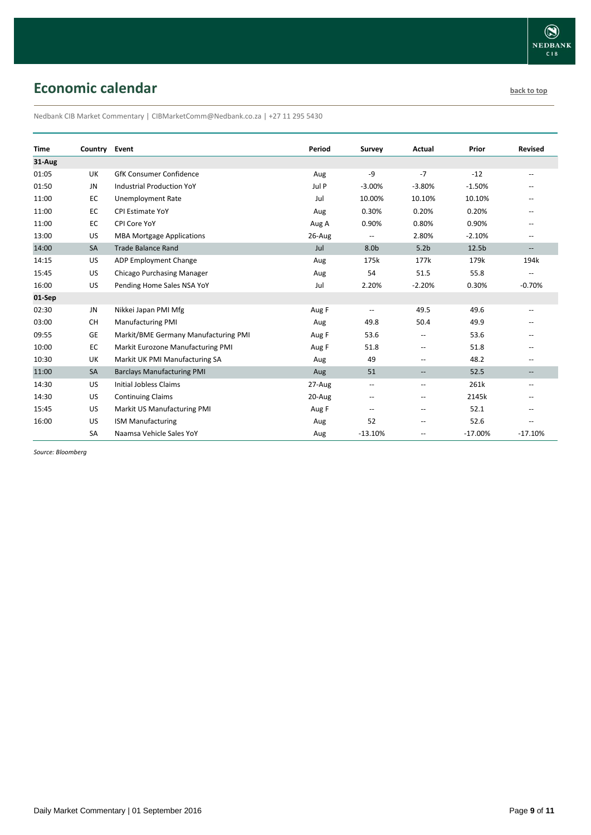# <span id="page-8-0"></span>**Economic calendar [back to top](#page-0-0) back to top**

Nedbank CIB Market Commentary | CIBMarketComm@Nedbank.co.za | +27 11 295 5430

|             |               |                                      | Period |                   |                          |                   |                                                     |
|-------------|---------------|--------------------------------------|--------|-------------------|--------------------------|-------------------|-----------------------------------------------------|
| <b>Time</b> | Country Event |                                      |        | Survey            | Actual                   | Prior             | <b>Revised</b>                                      |
| 31-Aug      |               |                                      |        |                   |                          |                   |                                                     |
| 01:05       | UK            | <b>GfK Consumer Confidence</b>       | Aug    | -9                | $-7$                     | $-12$             | $-$                                                 |
| 01:50       | JN            | <b>Industrial Production YoY</b>     | Jul P  | $-3.00%$          | $-3.80%$                 | $-1.50%$          |                                                     |
| 11:00       | EC            | <b>Unemployment Rate</b>             | Jul    | 10.00%            | 10.10%                   | 10.10%            |                                                     |
| 11:00       | EC            | <b>CPI Estimate YoY</b>              | Aug    | 0.30%             | 0.20%                    | 0.20%             |                                                     |
| 11:00       | EC            | CPI Core YoY                         | Aug A  | 0.90%             | 0.80%                    | 0.90%             |                                                     |
| 13:00       | US            | <b>MBA Mortgage Applications</b>     | 26-Aug |                   | 2.80%                    | $-2.10%$          | $\hspace{0.05cm} -\hspace{0.05cm} -\hspace{0.05cm}$ |
| 14:00       | SA            | <b>Trade Balance Rand</b>            | Jul    | 8.0b              | 5.2 <sub>b</sub>         | 12.5 <sub>b</sub> | $\overline{\phantom{a}}$                            |
| 14:15       | US            | ADP Employment Change                | Aug    | 175k              | 177k                     | 179k              | 194k                                                |
| 15:45       | US            | <b>Chicago Purchasing Manager</b>    | Aug    | 54                | 51.5                     | 55.8              | $\hspace{0.05cm} -$                                 |
| 16:00       | US            | Pending Home Sales NSA YoY           | Jul    | 2.20%             | $-2.20%$                 | 0.30%             | $-0.70%$                                            |
| 01-Sep      |               |                                      |        |                   |                          |                   |                                                     |
| 02:30       | JN            | Nikkei Japan PMI Mfg                 | Aug F  | --                | 49.5                     | 49.6              | $\hspace{0.05cm} -\hspace{0.05cm} -\hspace{0.05cm}$ |
| 03:00       | <b>CH</b>     | <b>Manufacturing PMI</b>             | Aug    | 49.8              | 50.4                     | 49.9              |                                                     |
| 09:55       | <b>GE</b>     | Markit/BME Germany Manufacturing PMI | Aug F  | 53.6              | $\hspace{0.05cm} -$      | 53.6              |                                                     |
| 10:00       | EC            | Markit Eurozone Manufacturing PMI    | Aug F  | 51.8              | $-$                      | 51.8              |                                                     |
| 10:30       | UK            | Markit UK PMI Manufacturing SA       | Aug    | 49                | $\overline{\phantom{a}}$ | 48.2              | --                                                  |
| 11:00       | SA            | <b>Barclays Manufacturing PMI</b>    | Aug    | 51                | $\overline{\phantom{a}}$ | 52.5              | $\overline{\phantom{a}}$                            |
| 14:30       | <b>US</b>     | <b>Initial Jobless Claims</b>        | 27-Aug | $\qquad \qquad -$ | $\hspace{0.05cm} -$      | 261k              | $\hspace{0.05cm} -$                                 |
| 14:30       | US            | <b>Continuing Claims</b>             | 20-Aug | --                | $\overline{\phantom{a}}$ | 2145k             |                                                     |
| 15:45       | US            | Markit US Manufacturing PMI          | Aug F  | --                | $\overline{\phantom{a}}$ | 52.1              |                                                     |
| 16:00       | US            | <b>ISM Manufacturing</b>             | Aug    | 52                | $\overline{\phantom{a}}$ | 52.6              |                                                     |
|             | SA            | Naamsa Vehicle Sales YoY             | Aug    | $-13.10%$         | --                       | $-17.00%$         | $-17.10%$                                           |

*Source: Bloomberg*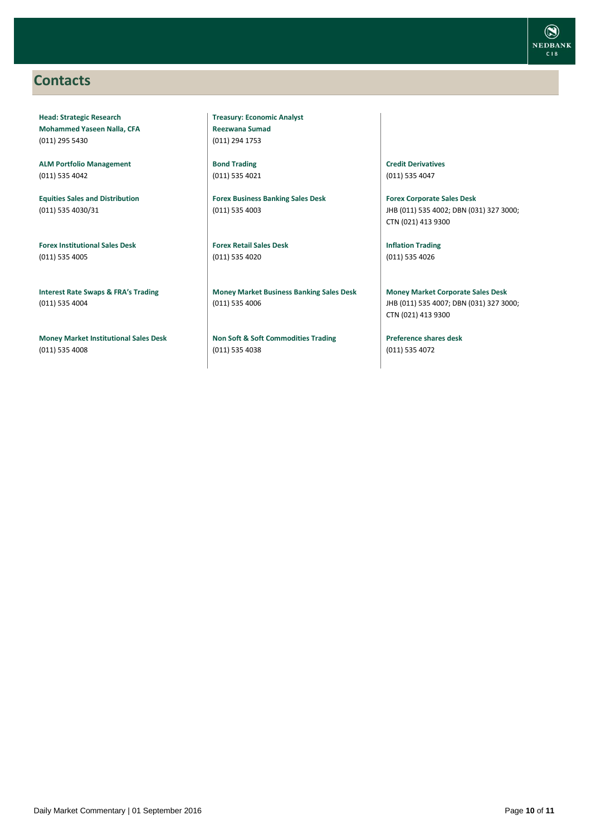### <span id="page-9-0"></span>**Contacts**

**Head: Strategic Research Mohammed Yaseen Nalla, CFA** (011) 295 5430

**ALM Portfolio Management** (011) 535 4042

**Equities Sales and Distribution** (011) 535 4030/31

**Forex Institutional Sales Desk** (011) 535 4005

**Interest Rate Swaps & FRA's Trading** (011) 535 4004

**Money Market Institutional Sales Desk** (011) 535 4008

**Treasury: Economic Analyst Reezwana Sumad** (011) 294 1753

**Bond Trading** (011) 535 4021

**Forex Business Banking Sales Desk** (011) 535 4003

**Forex Retail Sales Desk** (011) 535 4020

**Money Market Business Banking Sales Desk** (011) 535 4006

**Non Soft & Soft Commodities Trading** (011) 535 4038

**Credit Derivatives**  (011) 535 4047

**Forex Corporate Sales Desk** JHB (011) 535 4002; DBN (031) 327 3000; CTN (021) 413 9300

**Inflation Trading** (011) 535 4026

**Money Market Corporate Sales Desk** JHB (011) 535 4007; DBN (031) 327 3000; CTN (021) 413 9300

**Preference shares desk** (011) 535 4072